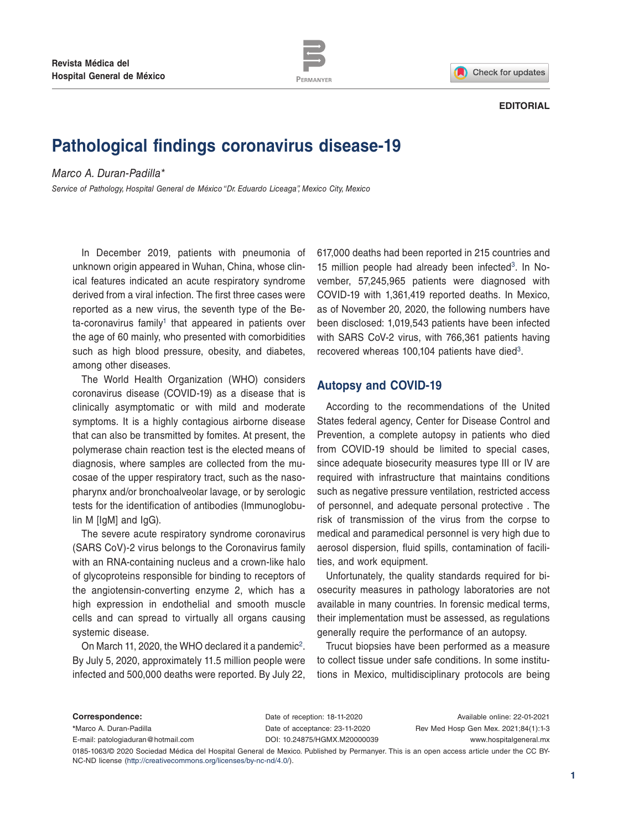



#### **EDITORIAL**

# **Pathological findings coronavirus disease-19**

#### *Marco A. Duran-Padilla\**

*Service of Pathology, Hospital General de México "Dr. Eduardo Liceaga", Mexico City, Mexico*

In December 2019, patients with pneumonia of unknown origin appeared in Wuhan, China, whose clinical features indicated an acute respiratory syndrome derived from a viral infection. The first three cases were reported as a new virus, the seventh type of the Be $ta-coronavirus family<sup>1</sup> that appeared in patients over$ the age of 60 mainly, who presented with comorbidities such as high blood pressure, obesity, and diabetes, among other diseases.

The World Health Organization (WHO) considers coronavirus disease (COVID-19) as a disease that is clinically asymptomatic or with mild and moderate symptoms. It is a highly contagious airborne disease that can also be transmitted by fomites. At present, the polymerase chain reaction test is the elected means of diagnosis, where samples are collected from the mucosae of the upper respiratory tract, such as the nasopharynx and/or bronchoalveolar lavage, or by serologic tests for the identification of antibodies (Immunoglobulin M [IgM] and IgG).

The severe acute respiratory syndrome coronavirus (SARS CoV)-2 virus belongs to the Coronavirus family with an RNA-containing nucleus and a crown-like halo of glycoproteins responsible for binding to receptors of the angiotensin-converting enzyme 2, which has a high expression in endothelial and smooth muscle cells and can spread to virtually all organs causing systemic disease.

On March 11, 2020, the WHO declared it a pandemic<sup>2</sup>. By July 5, 2020, approximately 11.5 million people were infected and 500,000 deaths were reported. By July 22,

617,000 deaths had been reported in 215 countries and 15 million people had already been infected $3$ . In November, 57,245,965 patients were diagnosed with COVID-19 with 1,361,419 reported deaths. In Mexico, as of November 20, 2020, the following numbers have been disclosed: 1,019,543 patients have been infected with SARS CoV-2 virus, with 766,361 patients having recovered whereas 100,104 patients have died<sup>3</sup>.

#### **Autopsy and COVID-19**

According to the recommendations of the United States federal agency, Center for Disease Control and Prevention, a complete autopsy in patients who died from COVID-19 should be limited to special cases, since adequate biosecurity measures type III or IV are required with infrastructure that maintains conditions such as negative pressure ventilation, restricted access of personnel, and adequate personal protective . The risk of transmission of the virus from the corpse to medical and paramedical personnel is very high due to aerosol dispersion, fluid spills, contamination of facilities, and work equipment.

Unfortunately, the quality standards required for biosecurity measures in pathology laboratories are not available in many countries. In forensic medical terms, their implementation must be assessed, as regulations generally require the performance of an autopsy.

Trucut biopsies have been performed as a measure to collect tissue under safe conditions. In some institutions in Mexico, multidisciplinary protocols are being

| Correspondence:                                                                                                                          | Date of reception: 18-11-2020  | Available online: 22-01-2021         |
|------------------------------------------------------------------------------------------------------------------------------------------|--------------------------------|--------------------------------------|
| *Marco A. Duran-Padilla                                                                                                                  | Date of acceptance: 23-11-2020 | Rev Med Hosp Gen Mex. 2021;84(1):1-3 |
| E-mail: patologiaduran@hotmail.com                                                                                                       | DOI: 10.24875/HGMX.M20000039   | www.hospitalgeneral.mx               |
| 0185-1063/© 2020 Sociedad Médica del Hospital General de Mexico. Published by Permanyer. This is an open access article under the CC BY- |                                |                                      |

NC-ND license (http://creativecommons.org/licenses/by-nc-nd/4.0/).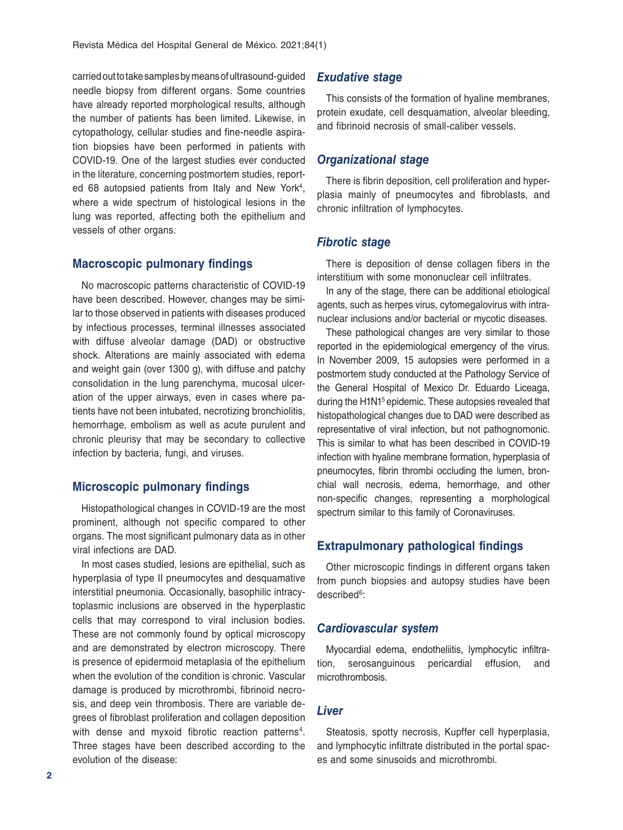carried out to take samples by means of ultrasound-guided needle biopsy from different organs. Some countries have already reported morphological results, although the number of patients has been limited. Likewise, in cytopathology, cellular studies and fine-needle aspiration biopsies have been performed in patients with COVID-19. One of the largest studies ever conducted in the literature, concerning postmortem studies, reported 68 autopsied patients from Italy and New York<sup>4</sup>, where a wide spectrum of histological lesions in the lung was reported, affecting both the epithelium and vessels of other organs.

## **Macroscopic pulmonary findings**

No macroscopic patterns characteristic of COVID-19 have been described. However, changes may be similar to those observed in patients with diseases produced by infectious processes, terminal illnesses associated with diffuse alveolar damage (DAD) or obstructive shock. Alterations are mainly associated with edema and weight gain (over 1300 g), with diffuse and patchy consolidation in the lung parenchyma, mucosal ulceration of the upper airways, even in cases where patients have not been intubated, necrotizing bronchiolitis, hemorrhage, embolism as well as acute purulent and chronic pleurisy that may be secondary to collective infection by bacteria, fungi, and viruses.

## **Microscopic pulmonary findings**

Histopathological changes in COVID-19 are the most prominent, although not specific compared to other organs. The most significant pulmonary data as in other viral infections are DAD.

In most cases studied, lesions are epithelial, such as hyperplasia of type II pneumocytes and desquamative interstitial pneumonia. Occasionally, basophilic intracytoplasmic inclusions are observed in the hyperplastic cells that may correspond to viral inclusion bodies. These are not commonly found by optical microscopy and are demonstrated by electron microscopy. There is presence of epidermoid metaplasia of the epithelium when the evolution of the condition is chronic. Vascular damage is produced by microthrombi, fibrinoid necrosis, and deep vein thrombosis. There are variable degrees of fibroblast proliferation and collagen deposition with dense and myxoid fibrotic reaction patterns<sup>4</sup>. Three stages have been described according to the evolution of the disease:

### *Exudative stage*

This consists of the formation of hyaline membranes, protein exudate, cell desquamation, alveolar bleeding, and fibrinoid necrosis of small-caliber vessels.

## *Organizational stage*

There is fibrin deposition, cell proliferation and hyperplasia mainly of pneumocytes and fibroblasts, and chronic infiltration of lymphocytes.

#### *Fibrotic stage*

There is deposition of dense collagen fibers in the interstitium with some mononuclear cell infiltrates.

In any of the stage, there can be additional etiological agents, such as herpes virus, cytomegalovirus with intranuclear inclusions and/or bacterial or mycotic diseases.

These pathological changes are very similar to those reported in the epidemiological emergency of the virus. In November 2009, 15 autopsies were performed in a postmortem study conducted at the Pathology Service of the General Hospital of Mexico Dr. Eduardo Liceaga, during the H1N1<sup>5</sup> epidemic. These autopsies revealed that histopathological changes due to DAD were described as representative of viral infection, but not pathognomonic. This is similar to what has been described in COVID-19 infection with hyaline membrane formation, hyperplasia of pneumocytes, fibrin thrombi occluding the lumen, bronchial wall necrosis, edema, hemorrhage, and other non-specific changes, representing a morphological spectrum similar to this family of Coronaviruses.

## **Extrapulmonary pathological findings**

Other microscopic findings in different organs taken from punch biopsies and autopsy studies have been described<sup>6</sup>:

#### *Cardiovascular system*

Myocardial edema, endotheliitis, lymphocytic infiltration, serosanguinous pericardial effusion, and microthrombosis.

#### *Liver*

Steatosis, spotty necrosis, Kupffer cell hyperplasia, and lymphocytic infiltrate distributed in the portal spaces and some sinusoids and microthrombi.